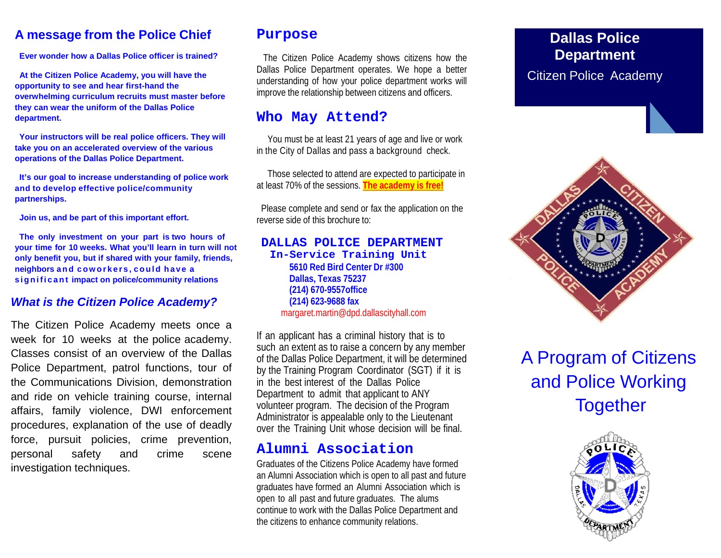## **A message from the Police Chief**

**Ever wonder how a Dallas Police officer is trained?**

**At the Citizen Police Academy, you will have the opportunity to see and hear first-hand the overwhelming curriculum recruits must master before they can wear the uniform of the Dallas Police department.**

**Your instructors will be real police officers. They will take you on an accelerated overview of the various operations of the Dallas Police Department.**

**It's our goal to increase understanding of police work and to develop effective police/community partnerships.**

**Join us, and be part of this important effort.**

**The only investment on your part is two hours of your time for 10 weeks. What you'll learn in turn will not only benefit you, but if shared with your family, friends, neighbors and coworkers , could have a significant impact on police/community relations**

### *What is the Citizen Police Academy?*

The Citizen Police Academy meets once a week for 10 weeks at the police academy. Classes consist of an overview of the Dallas Police Department, patrol functions, tour of the Communications Division, demonstration and ride on vehicle training course, internal affairs, family violence, DWI enforcement procedures, explanation of the use of deadly force, pursuit policies, crime prevention, personal safety and crime scene investigation techniques.

## **Purpose**

The Citizen Police Academy shows citizens how the Dallas Police Department operates. We hope a better understanding of how your police department works will improve the relationship between citizens and officers.

## **Who May Attend?**

You must be at least 21 years of age and live or work in the City of Dallas and pass a background check.

Those selected to attend are expected to participate in at least 70% of the sessions. **The academy is free!**

Please complete and send or fax the application on the reverse side of this brochure to:

### **DALLAS POLICE DEPARTMENT In-Service Training Unit**

**5610 Red Bird Center Dr #300 Dallas, Texas 75237 (214) 670-9557office (214) 623-9688 fax**  [margaret.martin@dpd.dallascityhall.com](mailto:margaret.martin@dpd.dallascityhall.com)

If an applicant has a criminal history that is to such an extent as to raise a concern by any member of the Dallas Police Department, it will be determined by the Training Program Coordinator (SGT) if it is in the best interest of the Dallas Police Department to admit that applicant to ANY volunteer program. The decision of the Program Administrator is appealable only to the Lieutenant over the Training Unit whose decision will be final.

## **Alumni Association**

Graduates of the Citizens Police Academy have formed an Alumni Association which is open to all past and future graduates have formed an Alumni Association which is open to all past and future graduates. The alums continue to work with the Dallas Police Department and the citizens to enhance community relations.

## **Dallas Police Department** Citizen Police Academy



# A Program of Citizens and Police Working **Together**